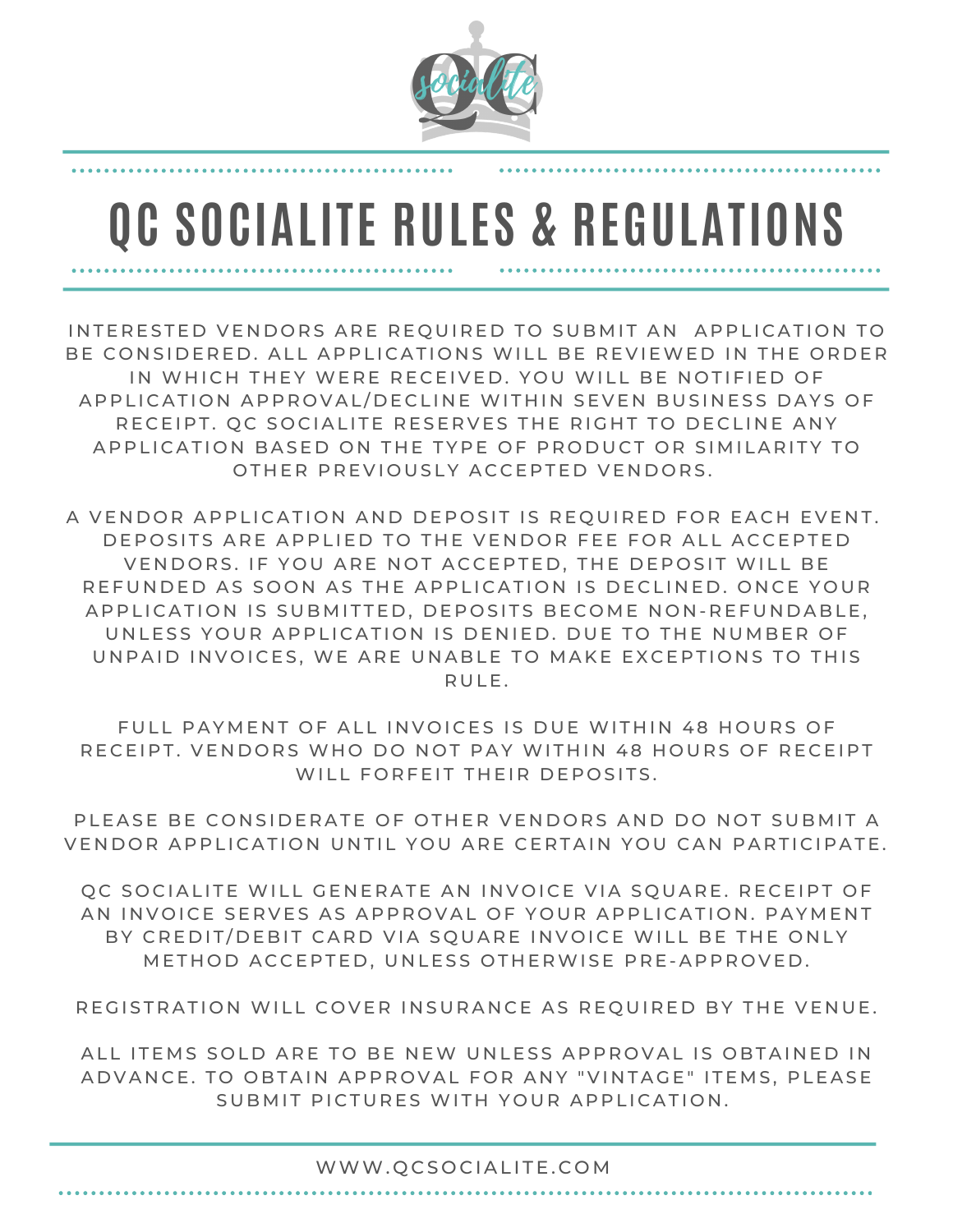

## **QC SOCIALITE RULES & REGULATIONS**

INTERESTED VENDORS ARE REOUIRED TO SUBMIT AN APPLICATION TO BE CONSIDERED. ALL APPLICATIONS WILL BE REVIEWED IN THE ORDER IN WHICH THEY WERE RECEIVED. YOU WILL BE NOTIFIED OF A P P LI CATION AP P ROVAL / DECLINE WITHIN SEVEN BUSINESS DAYS OF RECEIPT. OC SOCIALITE RESERVES THE RIGHT TO DECLINE ANY A P P LICATION BASED ON THE TYPE OF PRODUCT OR SIMILARITY TO OTHER PREVIOUSLY ACCEPTED VENDORS.

A VENDOR APPLICATION AND DEPOSIT IS REQUIRED FOR EACH EVENT. DEPOSITS ARE APPLIED TO THE VENDOR FEE FOR ALL ACCEPTED VENDORS. IF YOU ARE NOT ACCEPTED, THE DEPOSIT WILL BE REFUNDED AS SOON AS THE APPLICATION IS DECLINED. ONCE YOUR A P P LI CATION IS SUBMITTED, DEPOSITS BECOME NON-REFUNDABLE. UNLESS YOUR APPLICATION IS DENIED. DUE TO THE NUMBER OF UNPAID INVOICES, WE ARE UNABLE TO MAKE EXCEPTIONS TO THIS R U LE.

FULL PAYMENT OF ALL INVOICES IS DUE WITHIN 48 HOURS OF RECEIPT. VENDORS WHO DO NOT PAY WITHIN 48 HOURS OF RECEIPT WILL FORFEIT THEIR DEPOSITS.

PLEASE BE CONSIDERATE OF OTHER VENDORS AND DO NOT SUBMIT A VENDOR APPLICATION UNTIL YOU ARE CERTAIN YOU CAN PARTICIPATE.

QC SOCIALITE WILL GENERATE AN INVOICE VIA SQUARE. RECEIPT OF AN INVOICE SERVES AS APPROVAL OF YOUR APPLICATION. PAYMENT BY CREDIT/DEBIT CARD VIA SQUARE INVOICE WILL BE THE ONLY METHOD ACCEPTED, UNLESS OTHERWISE PRE-APPROVED.

REGISTRATION WILL COVER INSURANCE AS REQUIRED BY THE VENUE.

ALL ITEMS SOLD ARE TO BE NEW UNLESS APPROVAL IS OBTAINED IN ADVANCE. TO OBTAIN APPROVAL FOR ANY "VINTAGE" ITEMS, PLEASE SUBMIT PICTURES WITH YOUR APPLICATION.

## WWW. QCSOCIALITE.COM